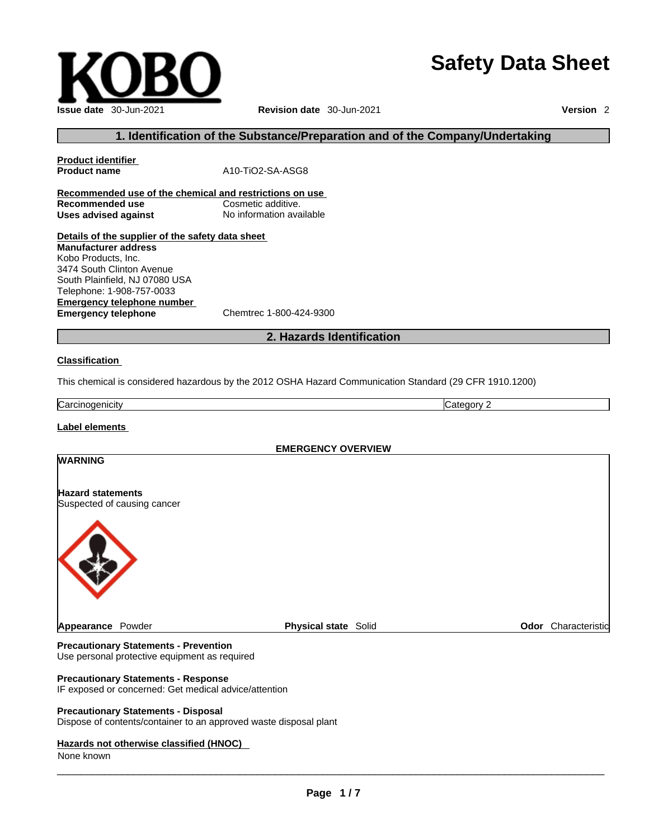## **Safety Data Sheet**

**Issue date** 30-Jun-2021 **Revision date** 30-Jun-2021 **Version** 2

### **1. Identification of the Substance/Preparation and of the Company/Undertaking**

**Product identifier Product name** A10-TiO2-SA-ASG8 **Recommended use of the chemical and restrictions on use**

**Recommended use**<br> **Uses advised against**<br> **Uses advised against**<br> **No information available Uses** advised against

**Details of the supplier of the safety data sheet Emergency telephone number**<br> **Emergency telephone**<br>
Chemtrec 1-800-424-9300 **Emergency telephone Manufacturer address** Kobo Products, Inc. 3474 South Clinton Avenue South Plainfield, NJ 07080 USA Telephone: 1-908-757-0033

### **2. Hazards Identification**

#### **Classification**

This chemical is considered hazardous by the 2012 OSHA Hazard Communication Standard (29 CFR 1910.1200)

**Carcinogenicity** Carcinogenicity **Category 2** 

### **Label elements**

# **EMERGENCY OVERVIEW WARNING Hazard statements** Suspected of causing cancer **Appearance Powder <b>Physical state** Solid **Physical state Solid Physical Solid Physical Solid Physical Solid Physical Solid Physical Solid Physical Solid Physical Solid Physical Solid Physical Solid Phy**

**Precautionary Statements - Prevention** Use personal protective equipment as required

#### **Precautionary Statements - Response**

IF exposed or concerned: Get medical advice/attention

### **Precautionary Statements - Disposal**

Dispose of contents/container to an approved waste disposal plant

#### **Hazards not otherwise classified (HNOC)**

None known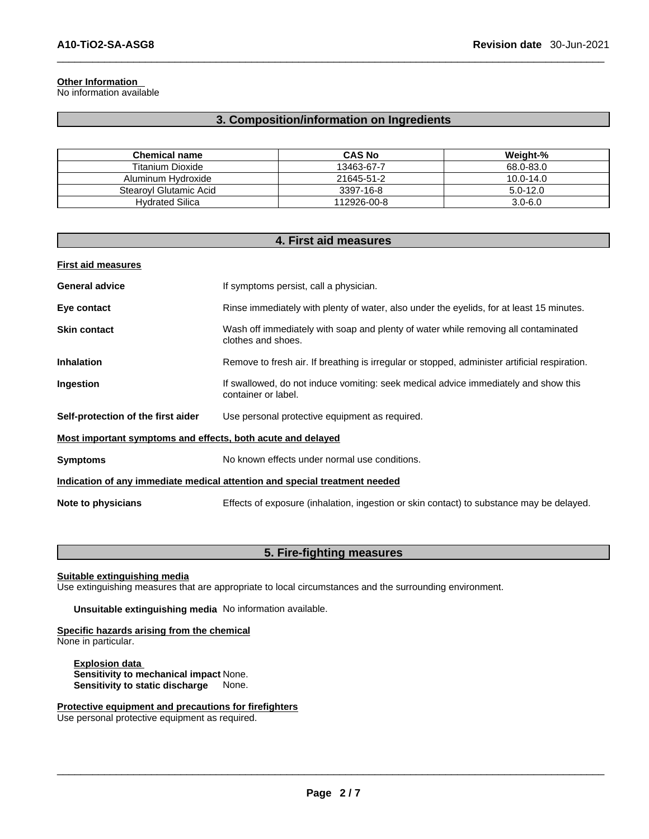### **Other Information**

No information available

### **3. Composition/information on Ingredients**

| <b>Chemical name</b>   | <b>CAS No</b> | Weight-%      |
|------------------------|---------------|---------------|
| Titanium Dioxide       | 13463-67-7    | 68.0-83.0     |
| Aluminum Hydroxide     | 21645-51-2    | $10.0 - 14.0$ |
| Stearovl Glutamic Acid | 3397-16-8     | $5.0 - 12.0$  |
| <b>Hydrated Silica</b> | 112926-00-8   | $3.0 - 6.0$   |

| 4. First aid measures                                       |                                                                                                            |  |
|-------------------------------------------------------------|------------------------------------------------------------------------------------------------------------|--|
| <b>First aid measures</b>                                   |                                                                                                            |  |
| <b>General advice</b>                                       | If symptoms persist, call a physician.                                                                     |  |
| Eye contact                                                 | Rinse immediately with plenty of water, also under the eyelids, for at least 15 minutes.                   |  |
| <b>Skin contact</b>                                         | Wash off immediately with soap and plenty of water while removing all contaminated<br>clothes and shoes.   |  |
| <b>Inhalation</b>                                           | Remove to fresh air. If breathing is irregular or stopped, administer artificial respiration.              |  |
| Ingestion                                                   | If swallowed, do not induce vomiting: seek medical advice immediately and show this<br>container or label. |  |
| Self-protection of the first aider                          | Use personal protective equipment as required.                                                             |  |
| Most important symptoms and effects, both acute and delayed |                                                                                                            |  |
| <b>Symptoms</b>                                             | No known effects under normal use conditions.                                                              |  |
|                                                             | Indication of any immediate medical attention and special treatment needed                                 |  |
| Note to physicians                                          | Effects of exposure (inhalation, ingestion or skin contact) to substance may be delayed.                   |  |

### **5. Fire-fighting measures**

**Suitable extinguishing media**

Use extinguishing measures that are appropriate to local circumstances and the surrounding environment.

**Unsuitable extinguishing media** No information available.

### **Specific hazards arising from the chemical**

None in particular.

**Explosion data Sensitivity to mechanical impact** None. **Sensitivity to static discharge** None.

### **Protective equipment and precautions for firefighters**

Use personal protective equipment as required.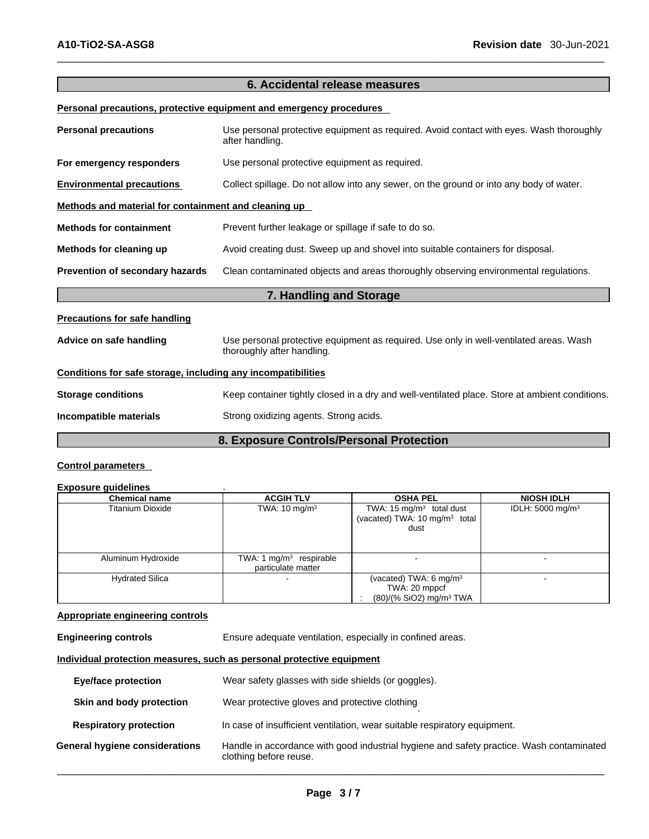### **6. Accidental release measures**

**Personal precautions, protective equipment and emergency procedures**

| <b>Personal precautions</b>                                  | Use personal protective equipment as required. Avoid contact with eyes. Wash thoroughly<br>after handling.           |  |  |
|--------------------------------------------------------------|----------------------------------------------------------------------------------------------------------------------|--|--|
| For emergency responders                                     | Use personal protective equipment as required.                                                                       |  |  |
| <b>Environmental precautions</b>                             | Collect spillage. Do not allow into any sewer, on the ground or into any body of water.                              |  |  |
| Methods and material for containment and cleaning up         |                                                                                                                      |  |  |
| <b>Methods for containment</b>                               | Prevent further leakage or spillage if safe to do so.                                                                |  |  |
| Methods for cleaning up                                      | Avoid creating dust. Sweep up and shovel into suitable containers for disposal.                                      |  |  |
| Prevention of secondary hazards                              | Clean contaminated objects and areas thoroughly observing environmental regulations.                                 |  |  |
|                                                              | 7. Handling and Storage                                                                                              |  |  |
| <b>Precautions for safe handling</b>                         |                                                                                                                      |  |  |
| Advice on safe handling                                      | Use personal protective equipment as required. Use only in well-ventilated areas. Wash<br>thoroughly after handling. |  |  |
| Conditions for safe storage, including any incompatibilities |                                                                                                                      |  |  |
| <b>Storage conditions</b>                                    | Keep container tightly closed in a dry and well-ventilated place. Store at ambient conditions.                       |  |  |
| Incompatible materials                                       | Strong oxidizing agents. Strong acids.                                                                               |  |  |
|                                                              |                                                                                                                      |  |  |

### **8. Exposure Controls/Personal Protection**

### **Control parameters**

#### **Exposure guidelines** .

| <b>Chemical name</b>    | <b>ACGIH TLV</b>                                | <b>OSHA PEL</b>                                                                             | <b>NIOSH IDLH</b>            |
|-------------------------|-------------------------------------------------|---------------------------------------------------------------------------------------------|------------------------------|
| <b>Titanium Dioxide</b> | TWA: $10 \text{ mg/m}^3$                        | TWA: 15 $mg/m3$ total dust<br>(vacated) TWA: 10 mg/m <sup>3</sup> total<br>dust             | IDLH: 5000 mg/m <sup>3</sup> |
| Aluminum Hydroxide      | TWA: 1 $mg/m3$ respirable<br>particulate matter |                                                                                             |                              |
| <b>Hydrated Silica</b>  |                                                 | (vacated) TWA: $6 \text{ mg/m}^3$<br>TWA: 20 mppcf<br>$(80)/(%$ SiO2) mg/m <sup>3</sup> TWA |                              |

### **Appropriate engineering controls**

**Engineering controls** Ensure adequate ventilation, especially in confined areas.

### **Individual protection measures, such as personal protective equipment**

| <b>Eye/face protection</b>     | Wear safety glasses with side shields (or goggles).                                                                |
|--------------------------------|--------------------------------------------------------------------------------------------------------------------|
| Skin and body protection       | Wear protective gloves and protective clothing                                                                     |
| <b>Respiratory protection</b>  | In case of insufficient ventilation, wear suitable respiratory equipment.                                          |
| General hygiene considerations | Handle in accordance with good industrial hygiene and safety practice. Wash contaminated<br>clothing before reuse. |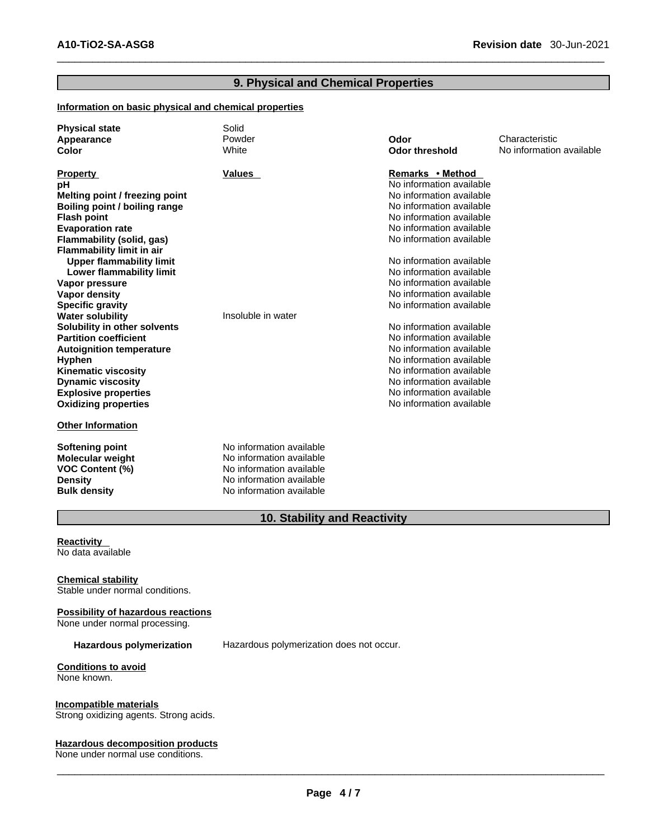### **9. Physical and Chemical Properties**

#### **Information on basic physical and chemical properties**

| <b>Physical state</b><br>Appearance<br>Color                                                                                                                                                                                                                                                                                                                                                                                                                                                                                                                                                                   | Solid<br>Powder<br>White                                                                                                                 | Odor<br><b>Odor threshold</b>                                                                                                                                                                                                                                                                                                                                                                                                                                                                                                                                        | Characteristic<br>No information available |
|----------------------------------------------------------------------------------------------------------------------------------------------------------------------------------------------------------------------------------------------------------------------------------------------------------------------------------------------------------------------------------------------------------------------------------------------------------------------------------------------------------------------------------------------------------------------------------------------------------------|------------------------------------------------------------------------------------------------------------------------------------------|----------------------------------------------------------------------------------------------------------------------------------------------------------------------------------------------------------------------------------------------------------------------------------------------------------------------------------------------------------------------------------------------------------------------------------------------------------------------------------------------------------------------------------------------------------------------|--------------------------------------------|
| <b>Property</b><br>рH<br>Melting point / freezing point<br>Boiling point / boiling range<br><b>Flash point</b><br><b>Evaporation rate</b><br>Flammability (solid, gas)<br><b>Flammability limit in air</b><br><b>Upper flammability limit</b><br>Lower flammability limit<br>Vapor pressure<br>Vapor density<br><b>Specific gravity</b><br><b>Water solubility</b><br>Solubility in other solvents<br><b>Partition coefficient</b><br><b>Autoignition temperature</b><br><b>Hyphen</b><br><b>Kinematic viscosity</b><br><b>Dynamic viscosity</b><br><b>Explosive properties</b><br><b>Oxidizing properties</b> | <b>Values</b><br>Insoluble in water                                                                                                      | Remarks • Method<br>No information available<br>No information available<br>No information available<br>No information available<br>No information available<br>No information available<br>No information available<br>No information available<br>No information available<br>No information available<br>No information available<br>No information available<br>No information available<br>No information available<br>No information available<br>No information available<br>No information available<br>No information available<br>No information available |                                            |
| <b>Other Information</b>                                                                                                                                                                                                                                                                                                                                                                                                                                                                                                                                                                                       |                                                                                                                                          |                                                                                                                                                                                                                                                                                                                                                                                                                                                                                                                                                                      |                                            |
| <b>Softening point</b><br><b>Molecular weight</b><br><b>VOC Content (%)</b><br><b>Density</b><br><b>Bulk density</b>                                                                                                                                                                                                                                                                                                                                                                                                                                                                                           | No information available<br>No information available<br>No information available<br>No information available<br>No information available |                                                                                                                                                                                                                                                                                                                                                                                                                                                                                                                                                                      |                                            |

### **10. Stability and Reactivity**

#### **Reactivity**  No data available

**Chemical stability** Stable under normal conditions.

### **Possibility of hazardous reactions**

None under normal processing.

**Hazardous polymerization** Hazardous polymerization does not occur.

#### **Conditions to avoid** None known.

### **Incompatible materials**

Strong oxidizing agents. Strong acids.

### **Hazardous decomposition products**

None under normal use conditions.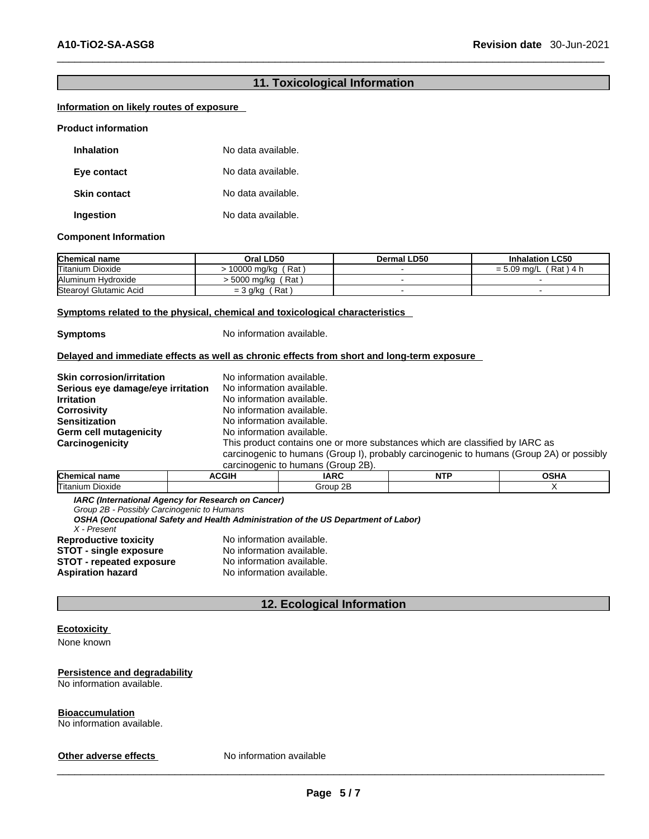### **11. Toxicological Information**

### **Information on likely routes of exposure**

#### **Product information**

| <b>Inhalation</b>   | No data available. |
|---------------------|--------------------|
| Eye contact         | No data available. |
| <b>Skin contact</b> | No data available. |
| Ingestion           | No data available. |

#### **Component Information**

| <b>Chemical name</b>    | Oral LD50              | Dermal LD50 | <b>Inhalation LC50</b>       |
|-------------------------|------------------------|-------------|------------------------------|
| <b>Titanium Dioxide</b> | Rat<br>10000 mg/kg     |             | $= 5.09$ ma/L<br>์ Rat ) 4 h |
| Aluminum Hvdroxide      | Rat<br>′  5000 mg/kg ح |             |                              |
| Stearoyl Glutamic Acid  | Rat.<br>$=$ 3 g/kg     |             |                              |

#### **Symptoms related to the physical, chemical and toxicological characteristics**

**Symptoms** No information available.

#### **Delayed and immediate effects as well as chronic effects from short and long-term exposure**

| <b>Skin corrosion/irritation</b>  | No information available.                                                                |
|-----------------------------------|------------------------------------------------------------------------------------------|
| Serious eye damage/eye irritation | No information available.                                                                |
| <b>Irritation</b>                 | No information available.                                                                |
| <b>Corrosivity</b>                | No information available.                                                                |
| <b>Sensitization</b>              | No information available.                                                                |
| Germ cell mutagenicity            | No information available.                                                                |
| Carcinogenicity                   | This product contains one or more substances which are classified by IARC as             |
|                                   | carcinogenic to humans (Group I), probably carcinogenic to humans (Group 2A) or possibly |
|                                   | carcinogenic to humans (Group 2B).                                                       |

| <u>Carcinous indications</u> (Oroup 2D). |              |             |     |                     |
|------------------------------------------|--------------|-------------|-----|---------------------|
| <b>Chemical name</b>                     | <b>ACGIF</b> | <b>IARC</b> | NTP | <b>SCLIA</b><br>∍п⊬ |
| <b>Titanium</b><br>. Dioxide             |              | Group 2B    |     |                     |

*IARC (International Agency for Research on Cancer)*

*Group 2B - Possibly Carcinogenic to Humans* 

*OSHA (Occupational Safety and Health Administration of the US Department of Labor)*

*X - Present* 

**Reproductive toxicity** No information available. **STOT** - **single exposure** No information available. **STOT** - **repeated exposure** No information available.<br> **Aspiration hazard** No information available. **Aspiration hazard** No information available.

### **12. Ecological Information**

### **Ecotoxicity**

None known

### **Persistence and degradability**

No information available.

**Bioaccumulation**

No information available.

**Other adverse effects** No information available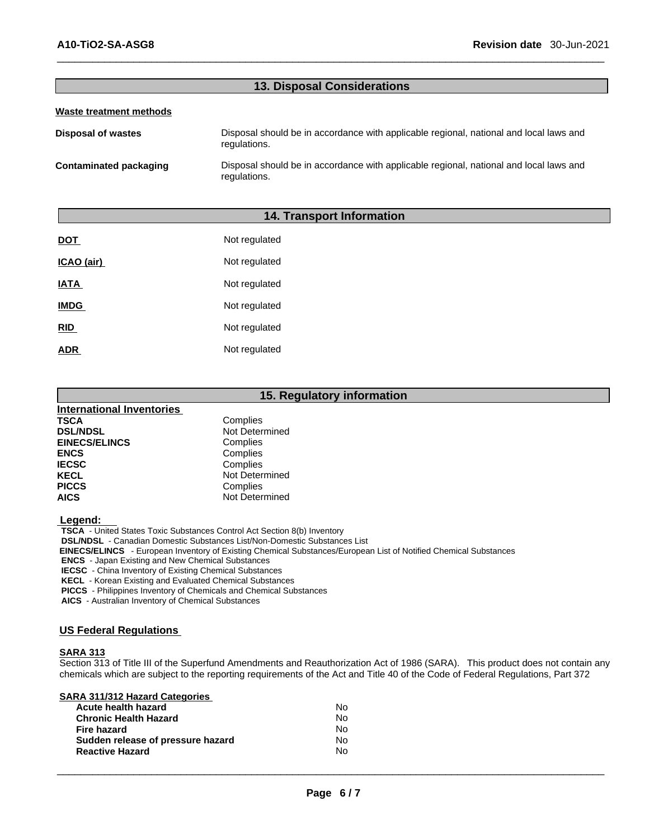### **13. Disposal Considerations**

#### **Waste treatment methods**

**Disposal of wastes** Disposal should be in accordance with applicable regional, national and local laws and regulations.

**Contaminated packaging** Disposal should be in accordance with applicable regional, national and local laws and regulations.

### **14. Transport Information**

| <b>DOT</b>  | Not regulated |
|-------------|---------------|
| ICAO (air)  | Not regulated |
| <b>IATA</b> | Not regulated |
| <b>IMDG</b> | Not regulated |
| <b>RID</b>  | Not regulated |
| ADR         | Not regulated |

### **15. Regulatory information**

| <b>International Inventories</b> |                |
|----------------------------------|----------------|
| <b>TSCA</b>                      | Complies       |
| <b>DSL/NDSL</b>                  | Not Determined |
| <b>EINECS/ELINCS</b>             | Complies       |
| <b>ENCS</b>                      | Complies       |
| <b>IECSC</b>                     | Complies       |
| <b>KECL</b>                      | Not Determined |
| <b>PICCS</b>                     | Complies       |
| <b>AICS</b>                      | Not Determined |

 **Legend:** 

**TSCA** - United States Toxic Substances Control Act Section 8(b) Inventory

**DSL/NDSL** - Canadian Domestic Substances List/Non-Domestic Substances List

 **EINECS/ELINCS** - European Inventory of Existing Chemical Substances/European List of Notified Chemical Substances

**ENCS** - Japan Existing and New Chemical Substances

**IECSC** - China Inventory of Existing Chemical Substances

**KECL** - Korean Existing and Evaluated Chemical Substances

**PICCS** - Philippines Inventory of Chemicals and Chemical Substances

**AICS** - Australian Inventory of Chemical Substances

### **US Federal Regulations**

### **SARA 313**

Section 313 of Title III of the Superfund Amendments and Reauthorization Act of 1986 (SARA). This product does not contain any chemicals which are subject to the reporting requirements of the Act and Title 40 of the Code of Federal Regulations, Part 372

| <b>SARA 311/312 Hazard Categories</b> |    |  |
|---------------------------------------|----|--|
| Acute health hazard                   | No |  |
|                                       |    |  |

| <b>Chronic Health Hazard</b>      | N٥ |  |
|-----------------------------------|----|--|
| Fire hazard                       | N٥ |  |
| Sudden release of pressure hazard | N٥ |  |
| <b>Reactive Hazard</b>            | N٥ |  |